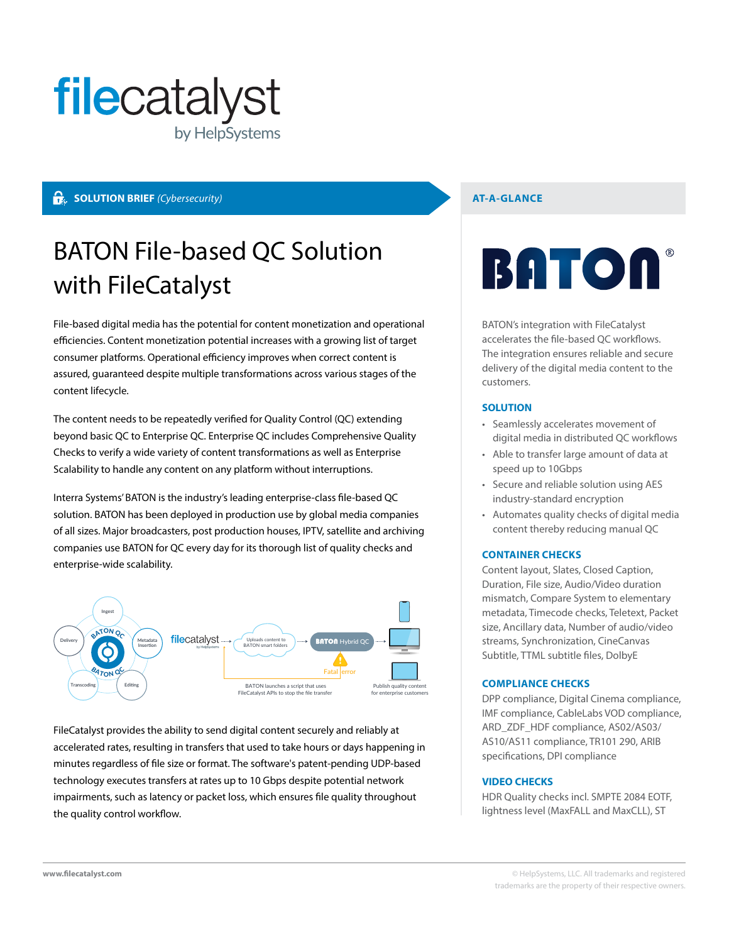

#### **SOLUTION BRIEF** (Cybersecurity) **AT-A-GLANCE**

## BATON File-based QC Solution with FileCatalyst

File-based digital media has the potential for content monetization and operational efficiencies. Content monetization potential increases with a growing list of target consumer platforms. Operational efficiency improves when correct content is assured, guaranteed despite multiple transformations across various stages of the content lifecycle.

The content needs to be repeatedly verified for Quality Control (QC) extending beyond basic QC to Enterprise QC. Enterprise QC includes Comprehensive Quality Checks to verify a wide variety of content transformations as well as Enterprise Scalability to handle any content on any platform without interruptions.

Interra Systems' BATON is the industry's leading enterprise-class file-based QC solution. BATON has been deployed in production use by global media companies of all sizes. Major broadcasters, post production houses, IPTV, satellite and archiving companies use BATON for QC every day for its thorough list of quality checks and enterprise-wide scalability.



FileCatalyst provides the ability to send digital content securely and reliably at accelerated rates, resulting in transfers that used to take hours or days happening in minutes regardless of file size or format. The software's patent-pending UDP-based technology executes transfers at rates up to 10 Gbps despite potential network impairments, such as latency or packet loss, which ensures file quality throughout the quality control workflow.

# **BATON**

BATON's integration with FileCatalyst accelerates the file-based QC workflows. The integration ensures reliable and secure delivery of the digital media content to the customers.

#### **SOLUTION**

- Seamlessly accelerates movement of digital media in distributed QC workflows
- Able to transfer large amount of data at speed up to 10Gbps
- Secure and reliable solution using AES industry-standard encryption
- Automates quality checks of digital media content thereby reducing manual QC

#### **CONTAINER CHECKS**

Content layout, Slates, Closed Caption, Duration, File size, Audio/Video duration mismatch, Compare System to elementary metadata, Timecode checks, Teletext, Packet size, Ancillary data, Number of audio/video streams, Synchronization, CineCanvas Subtitle, TTML subtitle files, DolbyE

#### **COMPLIANCE CHECKS**

DPP compliance, Digital Cinema compliance, IMF compliance, CableLabs VOD compliance, ARD\_ZDF\_HDF compliance, AS02/AS03/ AS10/AS11 compliance, TR101 290, ARIB specifications, DPI compliance

#### **VIDEO CHECKS**

HDR Quality checks incl. SMPTE 2084 EOTF, lightness level (MaxFALL and MaxCLL), ST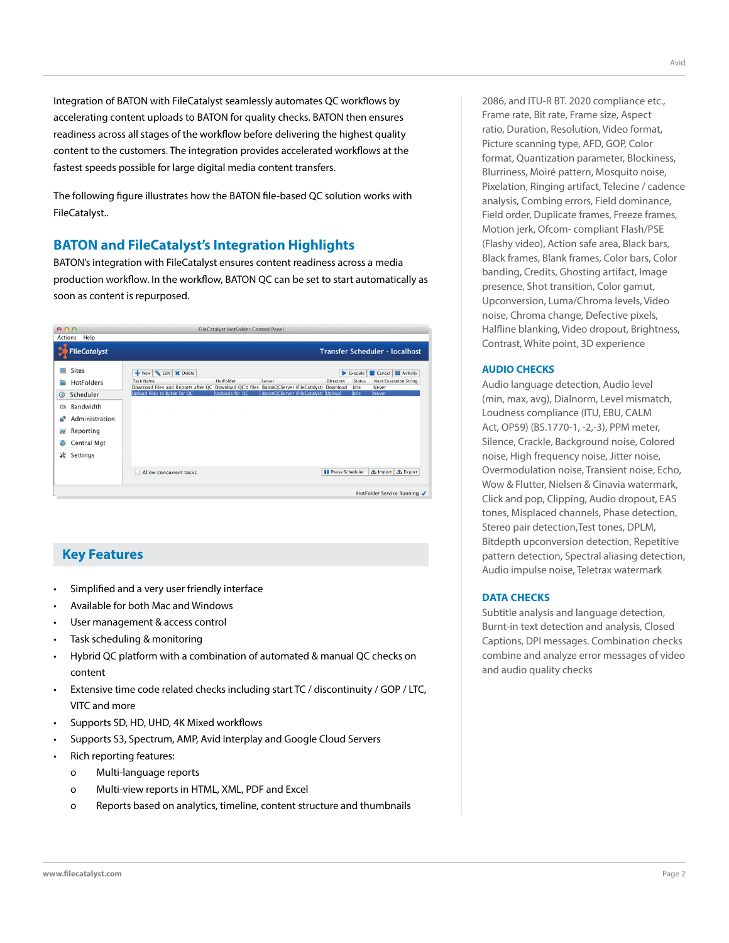Integration of BATON with FileCatalyst seamlessly automates QC workflows by accelerating content uploads to BATON for quality checks. BATON then ensures readiness across all stages of the workflow before delivering the highest quality content to the customers. The integration provides accelerated workflows at the fastest speeds possible for large digital media content transfers.

The following figure illustrates how the BATON file-based QC solution works with FileCatalyst..

### **BATON and FileCatalyst's Integration Highlights**

BATON's integration with FileCatalyst ensures content readiness across a media production workflow. In the workflow, BATON QC can be set to start automatically as soon as content is repurposed.

| 000       |                     | FileCatalyst HotFolder Control Panel                                                                              |                |                                     |                                |                |                                       |  |
|-----------|---------------------|-------------------------------------------------------------------------------------------------------------------|----------------|-------------------------------------|--------------------------------|----------------|---------------------------------------|--|
| Actions   | Help                |                                                                                                                   |                |                                     |                                |                |                                       |  |
|           | <b>FileCatalyst</b> |                                                                                                                   |                |                                     | Transfer Scheduler - localhost |                |                                       |  |
| 崖         | <b>Sites</b>        | New Sedit X Delete                                                                                                |                |                                     |                                | Execute        | Cancel <b>M</b> Activity              |  |
|           | HotFolders          | <b>Task Name</b><br>Download Files and Reports after QC Download QC'd files BatonQCServer (FileCatalyst) Download | HotFolder      | Server                              | Direction                      | Status<br>Idle | <b>Next Execution String</b><br>Never |  |
| $\odot$   | Scheduler           | Upload Files to Baton for QC                                                                                      | Uploads for QC | BatonQCServer (FileCatalyst) Upload |                                | ldle           | Never                                 |  |
| $\Omega$  | Bandwidth           |                                                                                                                   |                |                                     |                                |                |                                       |  |
| ÷         | Administration      |                                                                                                                   |                |                                     |                                |                |                                       |  |
| $\approx$ | Reporting           |                                                                                                                   |                |                                     |                                |                |                                       |  |
| ⊕         | Central Mgt         |                                                                                                                   |                |                                     |                                |                |                                       |  |
| ×         | Settings            |                                                                                                                   |                |                                     |                                |                |                                       |  |
|           |                     | Allow concurrent tasks                                                                                            |                |                                     | <b>Il</b> Pause Scheduler      |                | 也 Import <b>①</b> Export              |  |
|           |                     |                                                                                                                   |                |                                     |                                |                | HotFolder Service Running √           |  |

### **Key Features**

- Simplified and a very user friendly interface
- Available for both Mac and Windows
- User management & access control
- Task scheduling & monitoring
- Hybrid QC platform with a combination of automated & manual QC checks on content
- Extensive time code related checks including start TC / discontinuity / GOP / LTC, VITC and more
- Supports SD, HD, UHD, 4K Mixed workflows
- Supports S3, Spectrum, AMP, Avid Interplay and Google Cloud Servers
- Rich reporting features:
	- o Multi-language reports
	- o Multi-view reports in HTML, XML, PDF and Excel
	- o Reports based on analytics, timeline, content structure and thumbnails

2086, and ITU-R BT. 2020 compliance etc., Frame rate, Bit rate, Frame size, Aspect ratio, Duration, Resolution, Video format, Picture scanning type, AFD, GOP, Color format, Quantization parameter, Blockiness, Blurriness, Moiré pattern, Mosquito noise, Pixelation, Ringing artifact, Telecine / cadence analysis, Combing errors, Field dominance, Field order, Duplicate frames, Freeze frames, Motion jerk, Ofcom- compliant Flash/PSE (Flashy video), Action safe area, Black bars, Black frames, Blank frames, Color bars, Color banding, Credits, Ghosting artifact, Image presence, Shot transition, Color gamut, Upconversion, Luma/Chroma levels, Video noise, Chroma change, Defective pixels, Halfline blanking, Video dropout, Brightness, Contrast, White point, 3D experience

#### **AUDIO CHECKS**

Audio language detection, Audio level (min, max, avg), Dialnorm, Level mismatch, Loudness compliance (ITU, EBU, CALM Act, OP59) (BS.1770-1, -2,-3), PPM meter, Silence, Crackle, Background noise, Colored noise, High frequency noise, Jitter noise, Overmodulation noise, Transient noise, Echo, Wow & Flutter, Nielsen & Cinavia watermark, Click and pop, Clipping, Audio dropout, EAS tones, Misplaced channels, Phase detection, Stereo pair detection,Test tones, DPLM, Bitdepth upconversion detection, Repetitive pattern detection, Spectral aliasing detection, Audio impulse noise, Teletrax watermark

#### **DATA CHECKS**

Subtitle analysis and language detection, Burnt-in text detection and analysis, Closed Captions, DPI messages. Combination checks combine and analyze error messages of video and audio quality checks